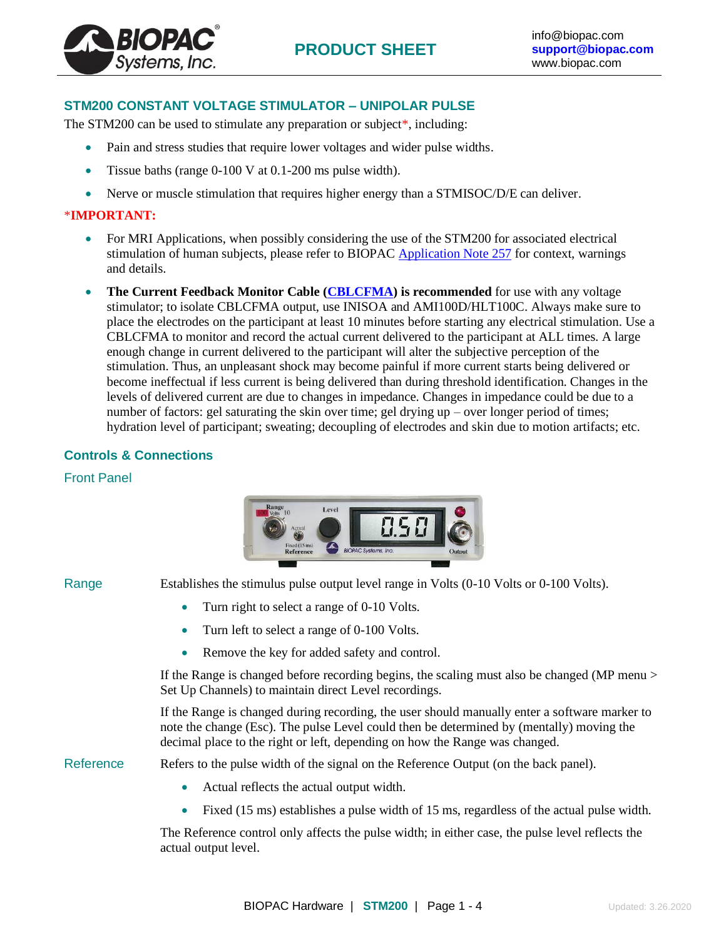## **STM200 CONSTANT VOLTAGE STIMULATOR – UNIPOLAR PULSE**

The STM200 can be used to stimulate any preparation or subject<sup>\*</sup>, including:

- Pain and stress studies that require lower voltages and wider pulse widths.
- Tissue baths (range 0-100 V at 0.1-200 ms pulse width).
- Nerve or muscle stimulation that requires higher energy than a STMISOC/D/E can deliver.

#### \***IMPORTANT:**

Systems, Inc

- For MRI Applications, when possibly considering the use of the STM200 for associated electrical stimulation of human subjects, please refer to BIOPAC [Application Note 257](https://www.biopac.com/wp-content/uploads/app257.pdf) for context, warnings and details.
- **The Current Feedback Monitor Cable [\(CBLCFMA\)](http://www.biopac.com/product/current-feedback-monitor-cable-1-v-10-ma/) is recommended** for use with any voltage stimulator; to isolate CBLCFMA output, use INISOA and AMI100D/HLT100C. Always make sure to place the electrodes on the participant at least 10 minutes before starting any electrical stimulation. Use a CBLCFMA to monitor and record the actual current delivered to the participant at ALL times. A large enough change in current delivered to the participant will alter the subjective perception of the stimulation. Thus, an unpleasant shock may become painful if more current starts being delivered or become ineffectual if less current is being delivered than during threshold identification. Changes in the levels of delivered current are due to changes in impedance. Changes in impedance could be due to a number of factors: gel saturating the skin over time; gel drying up – over longer period of times; hydration level of participant; sweating; decoupling of electrodes and skin due to motion artifacts; etc.

## **Controls & Connections**

#### Front Panel

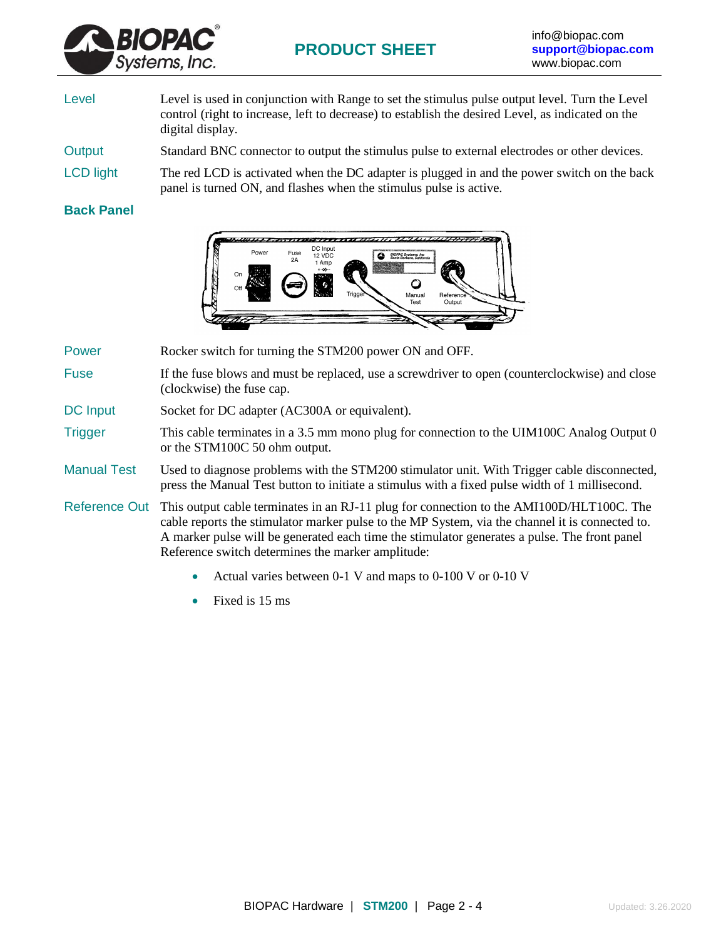

- Level Level is used in conjunction with Range to set the stimulus pulse output level. Turn the Level control (right to increase, left to decrease) to establish the desired Level, as indicated on the digital display.
- Output Standard BNC connector to output the stimulus pulse to external electrodes or other devices.
- LCD light The red LCD is activated when the DC adapter is plugged in and the power switch on the back panel is turned ON, and flashes when the stimulus pulse is active.

### **Back Panel**



Power Rocker switch for turning the STM200 power ON and OFF.

- Fuse If the fuse blows and must be replaced, use a screwdriver to open (counterclockwise) and close (clockwise) the fuse cap.
- DC Input Socket for DC adapter (AC300A or equivalent).
- Trigger This cable terminates in a 3.5 mm mono plug for connection to the UIM100C Analog Output 0 or the STM100C 50 ohm output.
- Manual Test Used to diagnose problems with the STM200 stimulator unit. With Trigger cable disconnected, press the Manual Test button to initiate a stimulus with a fixed pulse width of 1 millisecond.
- Reference Out This output cable terminates in an RJ-11 plug for connection to the AMI100D/HLT100C. The cable reports the stimulator marker pulse to the MP System, via the channel it is connected to. A marker pulse will be generated each time the stimulator generates a pulse. The front panel Reference switch determines the marker amplitude:
	- Actual varies between 0-1 V and maps to 0-100 V or 0-10 V
	- Fixed is 15 ms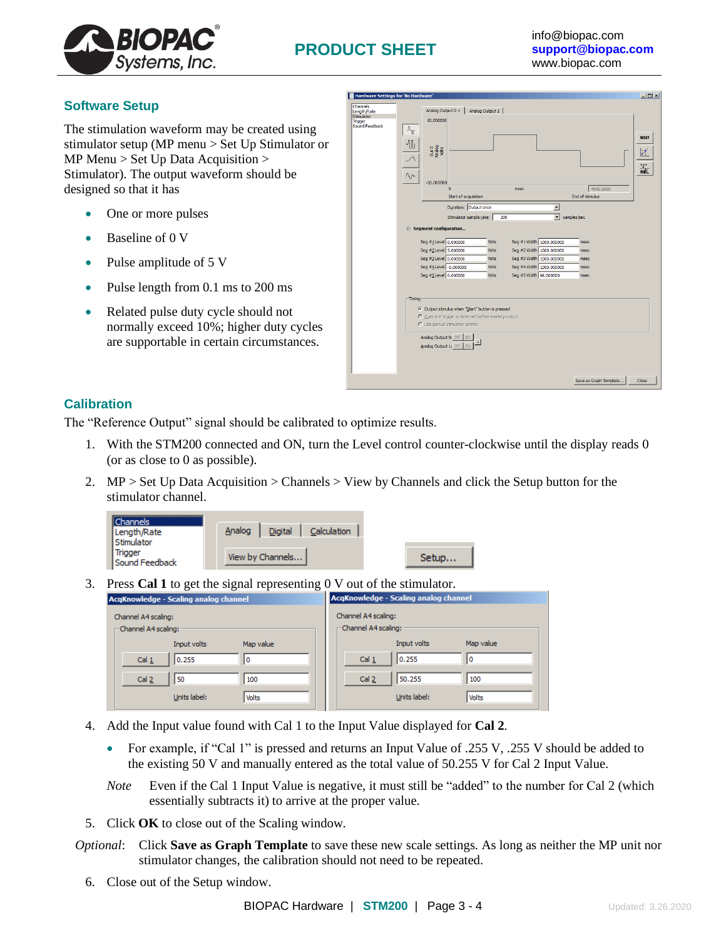

## **Software Setup**

The stimulation waveform may be created using stimulator setup (MP menu > Set Up Stimulator or MP Menu  $>$  Set Up Data Acquisition  $>$ Stimulator). The output waveform should be designed so that it has

- One or more pulses
- Baseline of 0 V
- Pulse amplitude of 5 V
- Pulse length from 0.1 ms to 200 ms
- Related pulse duty cycle should not normally exceed 10%; higher duty cycles are supportable in certain circumstances.

| <b>Hardware Settings for 'No Hardware'</b>                                |                                                                                                                                                                                                                                                                                                                                                                                                                                                                                                                                                                                                                                                                                                                                                                                                                                                       | $-10x$                 |
|---------------------------------------------------------------------------|-------------------------------------------------------------------------------------------------------------------------------------------------------------------------------------------------------------------------------------------------------------------------------------------------------------------------------------------------------------------------------------------------------------------------------------------------------------------------------------------------------------------------------------------------------------------------------------------------------------------------------------------------------------------------------------------------------------------------------------------------------------------------------------------------------------------------------------------------------|------------------------|
| Channels<br>Length/Rate<br>Stimulator<br><b>Trigger</b><br>Sound Feedback | Analog Output 0 x<br>Analog Output 1<br>10.000000<br>$\mathbf{u}$<br>11<br>Out 0<br>Analog<br>$\Lambda$<br>$-10,000000$<br>4096.0000<br>$\Omega$<br>msec<br>End of stimulus<br>Start of acquisition<br>Duration: Output once<br>$\overline{\phantom{a}}$<br>$\blacksquare$<br>Stimulator sample rate:<br>200<br>samples/sec<br>$\equiv$ Segment configuration<br>Seg #1Level 0.000000<br>Seg #1 Width 1000.000000<br>Volts<br>msec<br>Seg #2 Level 5.000000<br>Seg #2 Width 1000.000000<br>Volts<br>msec<br>Seg #3 Level 0.000000<br>Seg #3 Width 1000.000000<br>Volts<br>msec<br>Seg #4Level -5.000000<br>Seg #4 Width 1000.000000<br>Volts<br>msec<br>Seg #5 Level 0.000000<br>Seg #5 Width 96.000000<br>Volts<br>msec<br>$-T$ iming<br>C Output stimulus when "Start" button is pressed<br>C Wait until trigger is detected before starting output | <b>RESET</b><br>И<br>꿃 |
|                                                                           | C Use manual stimulator control<br>Analog Output 0: Off<br><b>On</b><br>of  <br>Analog Output 1: Off On                                                                                                                                                                                                                                                                                                                                                                                                                                                                                                                                                                                                                                                                                                                                               |                        |
|                                                                           | Save as Graph Template                                                                                                                                                                                                                                                                                                                                                                                                                                                                                                                                                                                                                                                                                                                                                                                                                                | Close                  |

# **Calibration**

The "Reference Output" signal should be calibrated to optimize results.

1. With the STM200 connected and ON, turn the Level control counter-clockwise until the display reads 0 (or as close to 0 as possible).

Setup...

2. MP > Set Up Data Acquisition > Channels > View by Channels and click the Setup button for the stimulator channel.

| <b>Channels</b>           |        |                  |             |
|---------------------------|--------|------------------|-------------|
| Length/Rate               | Analog | Digital          | Calculation |
| Stimulator                |        |                  |             |
| Trigger<br>Sound Feedback |        | View by Channels |             |

3. Press **Cal 1** to get the signal representing 0 V out of the stimulator.

| . .<br>ຼ<br>AcqKnowledge - Scaling analog channel | AcqKnowledge - Scaling analog channel |  |  |
|---------------------------------------------------|---------------------------------------|--|--|
| Channel A4 scaling:                               | Channel A4 scaling:                   |  |  |
| -Channel A4 scaling:                              | - Channel A4 scaling:                 |  |  |
| Input volts                                       | Input volts                           |  |  |
| Map value                                         | Map value                             |  |  |
| 0.255                                             | 0.255                                 |  |  |
| Cal $1$                                           | Cal 1                                 |  |  |
| 0                                                 | I٥                                    |  |  |
| Cal $2$                                           | 50.255                                |  |  |
| 50                                                | Cal <sub>2</sub>                      |  |  |
| 100                                               | 100                                   |  |  |
| Units label:                                      | Units label:                          |  |  |
| <b>Volts</b>                                      | Volts                                 |  |  |

- 4. Add the Input value found with Cal 1 to the Input Value displayed for **Cal 2**.
	- For example, if "Cal 1" is pressed and returns an Input Value of .255 V, .255 V should be added to the existing 50 V and manually entered as the total value of 50.255 V for Cal 2 Input Value.
	- *Note* Even if the Cal 1 Input Value is negative, it must still be "added" to the number for Cal 2 (which essentially subtracts it) to arrive at the proper value.
- 5. Click **OK** to close out of the Scaling window.
- *Optional*: Click **Save as Graph Template** to save these new scale settings. As long as neither the MP unit nor stimulator changes, the calibration should not need to be repeated.
	- 6. Close out of the Setup window.